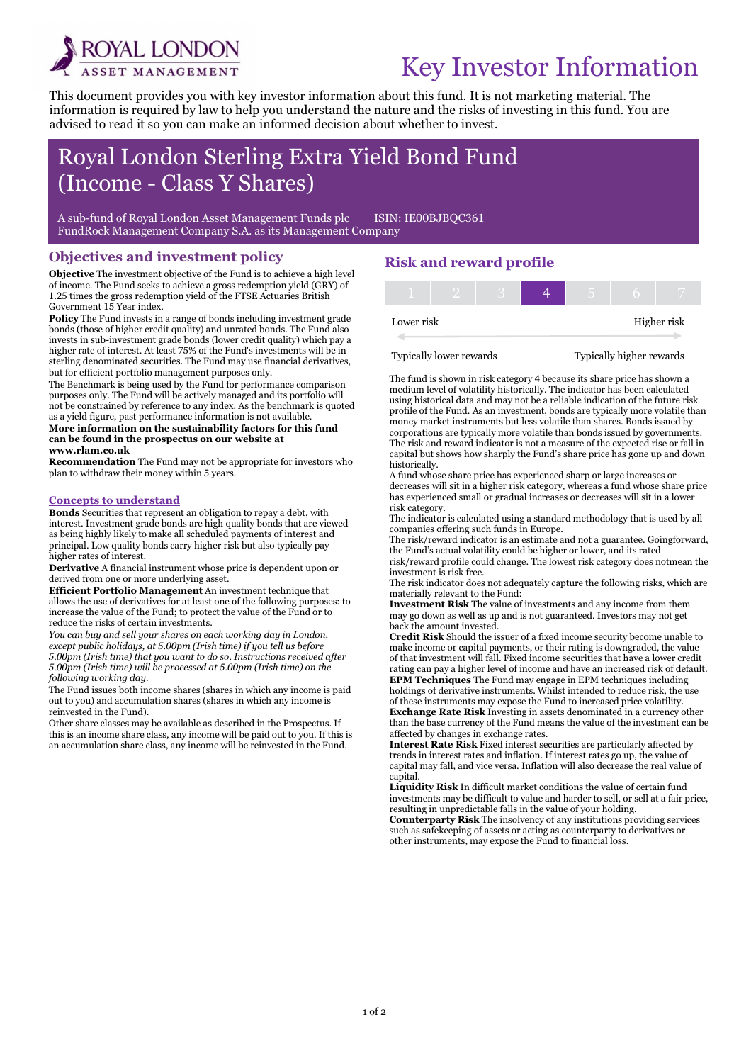

i

# Key Investor Information

This document provides you with key investor information about this fund. It is not marketing material. The information is required by law to help you understand the nature and the risks of investing in this fund. You are advised to read it so you can make an informed decision about whether to invest.

## Royal London Sterling Extra Yield Bond Fund (Income - Class Y Shares)

A sub-fund of Royal London Asset Management Funds plc ISIN: IE00BJBQC361 FundRock Management Company S.A. as its Management Company

### Objectives and investment policy

Objective The investment objective of the Fund is to achieve a high level of income. The Fund seeks to achieve a gross redemption yield (GRY) of 1.25 times the gross redemption yield of the FTSE Actuaries British Government 15 Year index.

Policy The Fund invests in a range of bonds including investment grade bonds (those of higher credit quality) and unrated bonds. The Fund also invests in sub-investment grade bonds (lower credit quality) which pay a higher rate of interest. At least 75% of the Fund's investments will be in sterling denominated securities. The Fund may use financial derivatives, but for efficient portfolio management purposes only.

The Benchmark is being used by the Fund for performance comparison purposes only. The Fund will be actively managed and its portfolio will not be constrained by reference to any index. As the benchmark is quoted as a yield figure, past performance information is not available.

#### More information on the sustainability factors for this fund can be found in the prospectus on our website at www.rlam.co.uk

Recommendation The Fund may not be appropriate for investors who plan to withdraw their money within 5 years.

#### Concepts to understand

Bonds Securities that represent an obligation to repay a debt, with interest. Investment grade bonds are high quality bonds that are viewed as being highly likely to make all scheduled payments of interest and principal. Low quality bonds carry higher risk but also typically pay higher rates of interest.

Derivative A financial instrument whose price is dependent upon or derived from one or more underlying asset.

Efficient Portfolio Management An investment technique that allows the use of derivatives for at least one of the following purposes: to increase the value of the Fund; to protect the value of the Fund or to reduce the risks of certain investments.

You can buy and sell your shares on each working day in London, except public holidays, at 5.00pm (Irish time) if you tell us before 5.00pm (Irish time) that you want to do so. Instructions received after 5.00pm (Irish time) will be processed at 5.00pm (Irish time) on the following working day.

The Fund issues both income shares (shares in which any income is paid out to you) and accumulation shares (shares in which any income is reinvested in the Fund).

Other share classes may be available as described in the Prospectus. If this is an income share class, any income will be paid out to you. If this is an accumulation share class, any income will be reinvested in the Fund.

## Risk and reward profile

| Lower risk |  |  |  | Higher risk |
|------------|--|--|--|-------------|

Typically lower rewards Typically higher rewards

The fund is shown in risk category 4 because its share price has shown a medium level of volatility historically. The indicator has been calculated using historical data and may not be a reliable indication of the future risk profile of the Fund. As an investment, bonds are typically more volatile than money market instruments but less volatile than shares. Bonds issued by corporations are typically more volatile than bonds issued by governments. The risk and reward indicator is not a measure of the expected rise or fall in capital but shows how sharply the Fund's share price has gone up and down historically.

A fund whose share price has experienced sharp or large increases or decreases will sit in a higher risk category, whereas a fund whose share price has experienced small or gradual increases or decreases will sit in a lower risk category.

The indicator is calculated using a standard methodology that is used by all companies offering such funds in Europe.

The risk/reward indicator is an estimate and not a guarantee. Goingforward, the Fund's actual volatility could be higher or lower, and its rated

risk/reward profile could change. The lowest risk category does notmean the investment is risk free.

The risk indicator does not adequately capture the following risks, which are materially relevant to the Fund:

Investment Risk The value of investments and any income from them may go down as well as up and is not guaranteed. Investors may not get back the amount invested.

Credit Risk Should the issuer of a fixed income security become unable to make income or capital payments, or their rating is downgraded, the value of that investment will fall. Fixed income securities that have a lower credit rating can pay a higher level of income and have an increased risk of default. EPM Techniques The Fund may engage in EPM techniques including

holdings of derivative instruments. Whilst intended to reduce risk, the use of these instruments may expose the Fund to increased price volatility. Exchange Rate Risk Investing in assets denominated in a currency other than the base currency of the Fund means the value of the investment can be affected by changes in exchange rates.

Interest Rate Risk Fixed interest securities are particularly affected by trends in interest rates and inflation. If interest rates go up, the value of capital may fall, and vice versa. Inflation will also decrease the real value of capital.

Liquidity Risk In difficult market conditions the value of certain fund investments may be difficult to value and harder to sell, or sell at a fair price, resulting in unpredictable falls in the value of your holding.

Counterparty Risk The insolvency of any institutions providing services such as safekeeping of assets or acting as counterparty to derivatives or other instruments, may expose the Fund to financial loss.